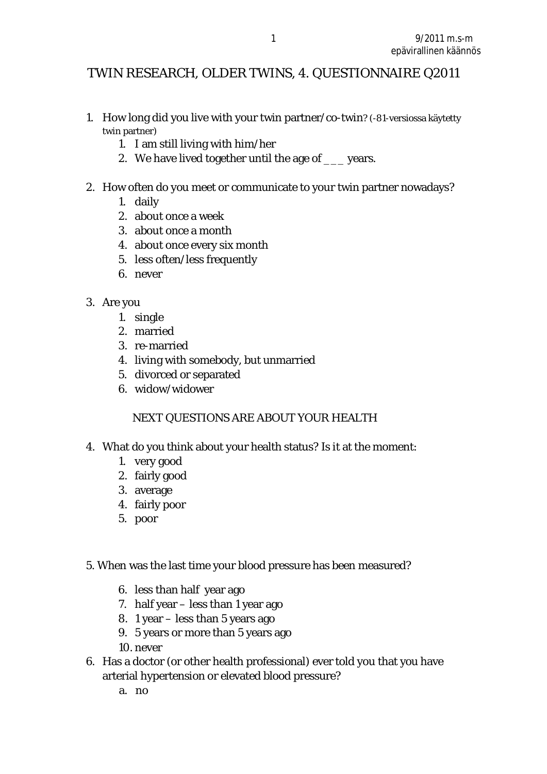# TWIN RESEARCH, OLDER TWINS, 4. QUESTIONNAIRE Q2011

- 1. How long did you live with your twin partner/co-twin? (-81-versiossa käytetty twin partner)
	- 1. I am still living with him/her
	- 2. We have lived together until the age of \_\_\_ years.
- 2. How often do you meet or communicate to your twin partner nowadays?
	- 1. daily
	- 2. about once a week
	- 3. about once a month
	- 4. about once every six month
	- 5. less often/less frequently
	- 6. never
- 3. Are you
	- 1. single
	- 2. married
	- 3. re-married
	- 4. living with somebody, but unmarried
	- 5. divorced or separated
	- 6. widow/widower

## NEXT QUESTIONS ARE ABOUT YOUR HEALTH

- 4. What do you think about your health status? Is it at the moment:
	- 1. very good
	- 2. fairly good
	- 3. average
	- 4. fairly poor
	- 5. poor
- 5. When was the last time your blood pressure has been measured?
	- 6. less than half year ago
	- 7. half year less than 1 year ago
	- 8. 1 year less than 5 years ago
	- 9. 5 years or more than 5 years ago
	- 10. never
- 6. Has a doctor (or other health professional) ever told you that you have arterial hypertension or elevated blood pressure?
	- a. no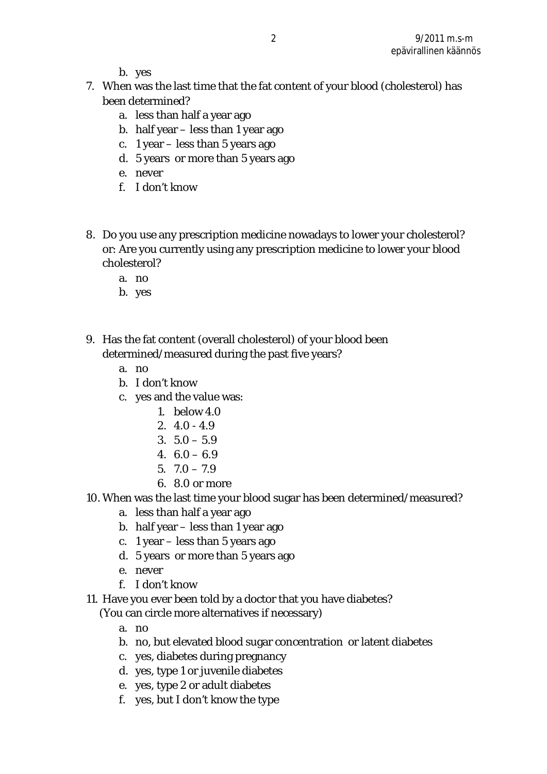b. yes

- 7. When was the last time that the fat content of your blood (cholesterol) has been determined?
	- a. less than half a year ago
	- b. half year less than 1 year ago
	- c. 1 year less than 5 years ago
	- d. 5 years or more than 5 years ago
	- e. never
	- f. I don't know
- 8. Do you use any prescription medicine nowadays to lower your cholesterol? or: Are you currently using any prescription medicine to lower your blood cholesterol?
	- a. no
	- b. yes
- 9. Has the fat content (overall cholesterol) of your blood been determined/measured during the past five years?
	- a. no
	- b. I don't know
	- c. yes and the value was:
		- 1. below 4.0
		- 2. 4.0 4.9
		- $3.5.0 5.9$
		- 4. 6.0 6.9
		- $5.70 79$
		- 6. 8.0 or more
- 10. When was the last time your blood sugar has been determined/measured?
	- a. less than half a year ago
	- b. half year less than 1 year ago
	- c. 1 year less than 5 years ago
	- d. 5 years or more than 5 years ago
	- e. never
	- f. I don't know
- 11. Have you ever been told by a doctor that you have diabetes?

(You can circle more alternatives if necessary)

- a. no
- b. no, but elevated blood sugar concentration or latent diabetes
- c. yes, diabetes during pregnancy
- d. yes, type 1 or juvenile diabetes
- e. yes, type 2 or adult diabetes
- f. yes, but I don't know the type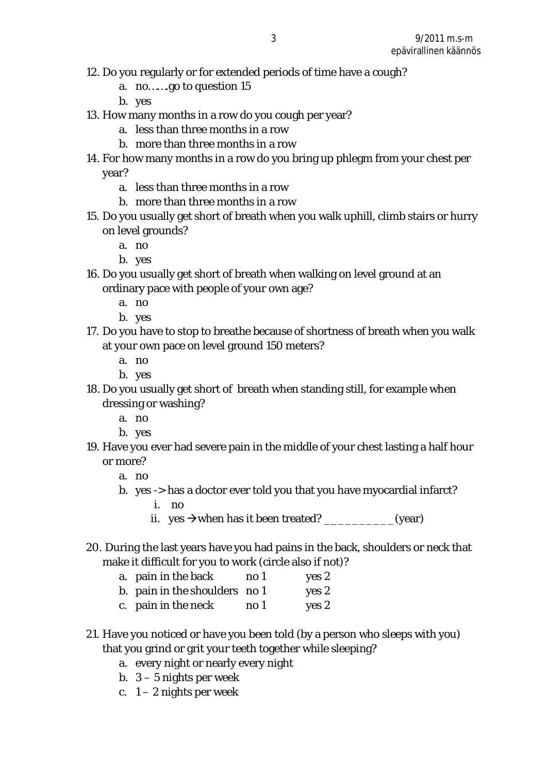- 12. Do you regularly or for extended periods of time have a cough?
	- a. no…….go to question 15
	- b. yes
- 13. How many months in a row do you cough per year?
	- a. less than three months in a row
	- b. more than three months in a row
- 14. For how many months in a row do you bring up phlegm from your chest per year?
	- a. less than three months in a row
	- b. more than three months in a row
- 15. Do you usually get short of breath when you walk uphill, climb stairs or hurry on level grounds?
	- a. no
	- b. yes
- 16. Do you usually get short of breath when walking on level ground at an ordinary pace with people of your own age?
	- a. no
	- b. yes
- 17. Do you have to stop to breathe because of shortness of breath when you walk at your own pace on level ground 150 meters?
	- a. no
	- b. yes
- 18. Do you usually get short of breath when standing still, for example when dressing or washing?
	- a. no
	- b. yes
- 19. Have you ever had severe pain in the middle of your chest lasting a half hour or more?
	- a. no
	- b. yes -> has a doctor ever told you that you have myocardial infarct?
		- i. no
		- ii. yes  $\rightarrow$  when has it been treated?  $(year)$
- 20. During the last years have you had pains in the back, shoulders or neck that make it difficult for you to work (circle also if not)?
	- a. pain in the back no 1 yes 2
	- b. pain in the shoulders no 1 yes 2
	- c. pain in the neck no 1 yes 2
- 21. Have you noticed or have you been told (by a person who sleeps with you) that you grind or grit your teeth together while sleeping?
	- a. every night or nearly every night
	- b. 3 5 nights per week
	- c.  $1 2$  nights per week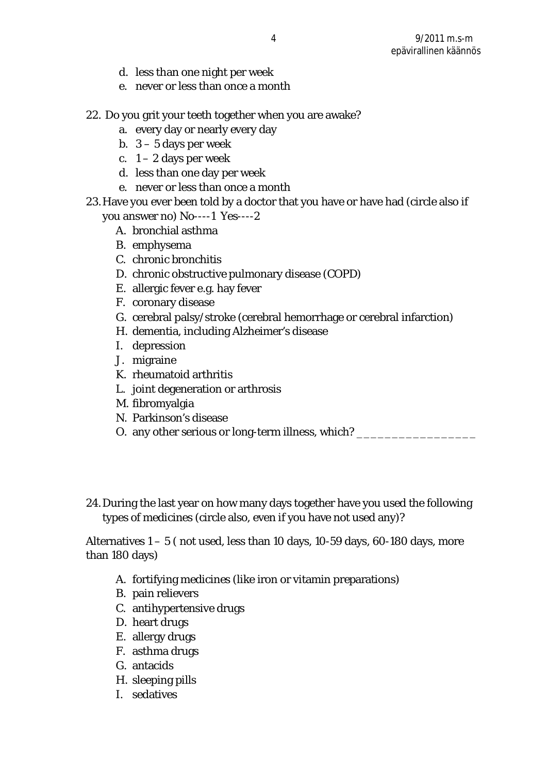- d. less than one night per week
- e. never or less than once a month
- 22. Do you grit your teeth together when you are awake?
	- a. every day or nearly every day
	- b. 3 5 days per week
	- c.  $1 2$  days per week
	- d. less than one day per week
	- e. never or less than once a month
- 23.Have you ever been told by a doctor that you have or have had (circle also if you answer no) No----1 Yes----2
	- A. bronchial asthma
	- B. emphysema
	- C. chronic bronchitis
	- D. chronic obstructive pulmonary disease (COPD)
	- E. allergic fever e.g. hay fever
	- F. coronary disease
	- G. cerebral palsy/stroke (cerebral hemorrhage or cerebral infarction)
	- H. dementia, including Alzheimer's disease
	- I. depression
	- J. migraine
	- K. rheumatoid arthritis
	- L. joint degeneration or arthrosis
	- M. fibromyalgia
	- N. Parkinson's disease
	- O. any other serious or long-term illness, which? \_\_\_\_\_\_\_\_\_\_\_\_\_\_\_\_\_\_\_\_\_\_\_\_\_\_\_\_\_\_
- 24.During the last year on how many days together have you used the following types of medicines (circle also, even if you have not used any)?

Alternatives 1 – 5 ( not used, less than 10 days, 10-59 days, 60-180 days, more than 180 days)

- A. fortifying medicines (like iron or vitamin preparations)
- B. pain relievers
- C. antihypertensive drugs
- D. heart drugs
- E. allergy drugs
- F. asthma drugs
- G. antacids
- H. sleeping pills
- I. sedatives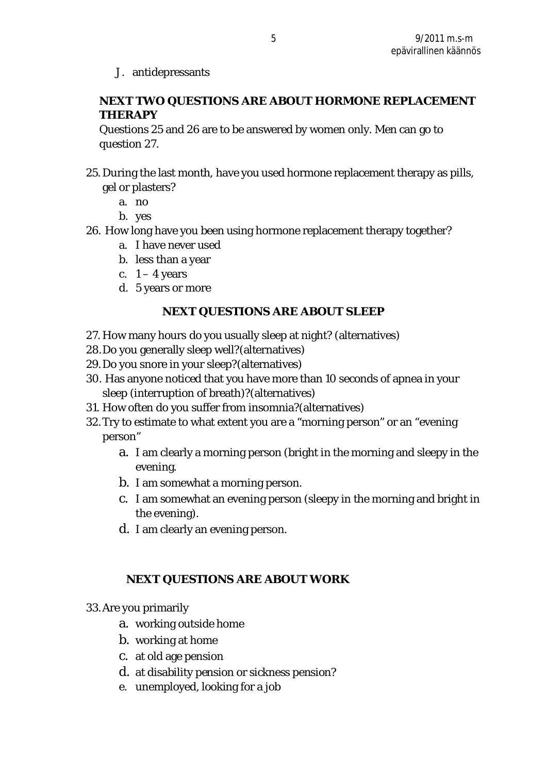J. antidepressants

**NEXT TWO QUESTIONS ARE ABOUT HORMONE REPLACEMENT THERAPY** 

Questions 25 and 26 are to be answered by women only. Men can go to question 27.

- 25. During the last month, have you used hormone replacement therapy as pills, gel or plasters?
	- a. no
	- b. yes
- 26. How long have you been using hormone replacement therapy together?
	- a. I have never used
	- b. less than a year
	- c.  $1 4$  years
	- d. 5 years or more

### **NEXT QUESTIONS ARE ABOUT SLEEP**

- 27. How many hours do you usually sleep at night? (alternatives)
- 28.Do you generally sleep well?(alternatives)
- 29.Do you snore in your sleep?(alternatives)
- 30. Has anyone noticed that you have more than 10 seconds of apnea in your sleep (interruption of breath)?(alternatives)
- 31. How often do you suffer from insomnia?(alternatives)
- 32.Try to estimate to what extent you are a "morning person" or an "evening person"
	- a. I am clearly a morning person (bright in the morning and sleepy in the evening.
	- b. I am somewhat a morning person.
	- c. I am somewhat an evening person (sleepy in the morning and bright in the evening).
	- d. I am clearly an evening person.

## **NEXT QUESTIONS ARE ABOUT WORK**

- 33.Are you primarily
	- a. working outside home
	- b. working at home
	- c. at old age pension
	- d. at disability pension or sickness pension?
	- e. unemployed, looking for a job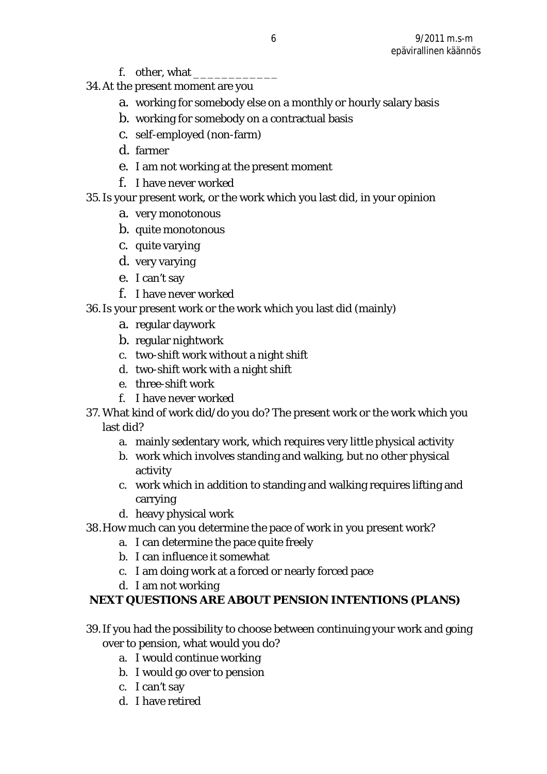- f. other, what \_\_\_\_
- 34.At the present moment are you
	- a. working for somebody else on a monthly or hourly salary basis
	- b. working for somebody on a contractual basis
	- c. self-employed (non-farm)
	- d. farmer
	- e. I am not working at the present moment
	- f. I have never worked
- 35.Is your present work, or the work which you last did, in your opinion
	- a. very monotonous
	- b. quite monotonous
	- c. quite varying
	- d. very varying
	- e. I can't say
	- f. I have never worked
- 36.Is your present work or the work which you last did (mainly)
	- a. regular daywork
	- b. regular nightwork
	- c. two-shift work without a night shift
	- d. two-shift work with a night shift
	- e. three-shift work
	- f. I have never worked
- 37. What kind of work did/do you do? The present work or the work which you last did?
	- a. mainly sedentary work, which requires very little physical activity
	- b. work which involves standing and walking, but no other physical activity
	- c. work which in addition to standing and walking requires lifting and carrying
	- d. heavy physical work
- 38.How much can you determine the pace of work in you present work?
	- a. I can determine the pace quite freely
	- b. I can influence it somewhat
	- c. I am doing work at a forced or nearly forced pace
	- d. I am not working
- **NEXT QUESTIONS ARE ABOUT PENSION INTENTIONS (PLANS)**
- 39.If you had the possibility to choose between continuing your work and going over to pension, what would you do?
	- a. I would continue working
	- b. I would go over to pension
	- c. I can't say
	- d. I have retired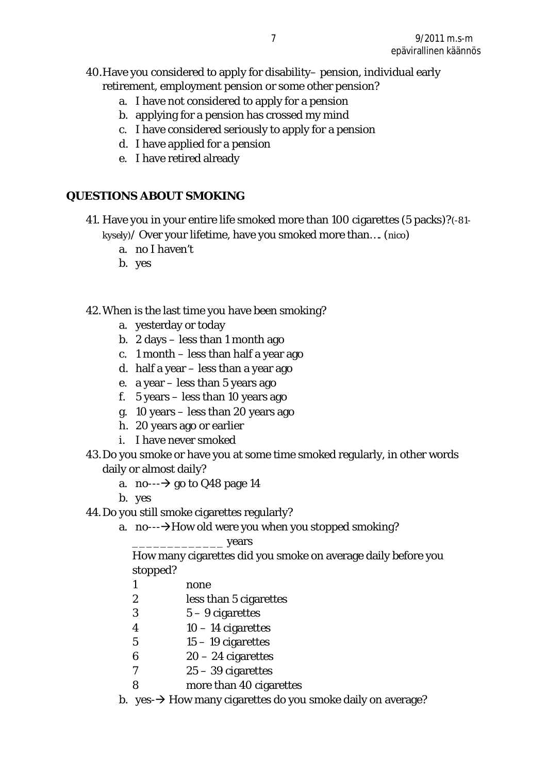## 40.Have you considered to apply for disability– pension, individual early retirement, employment pension or some other pension?

- a. I have not considered to apply for a pension
- b. applying for a pension has crossed my mind
- c. I have considered seriously to apply for a pension
- d. I have applied for a pension
- e. I have retired already

### **QUESTIONS ABOUT SMOKING**

- 41. Have you in your entire life smoked more than 100 cigarettes (5 packs)?(-81 kysely)/ Over your lifetime, have you smoked more than…. (nico)
	- a. no I haven't
	- b. yes
- 42.When is the last time you have been smoking?
	- a. yesterday or today
	- b. 2 days less than 1 month ago
	- c. 1 month less than half a year ago
	- d. half a year less than a year ago
	- e. a year less than 5 years ago
	- f. 5 years less than 10 years ago
	- g. 10 years less than 20 years ago
	- h. 20 years ago or earlier
	- i. I have never smoked
- 43.Do you smoke or have you at some time smoked regularly, in other words daily or almost daily?
	- a. no- $\rightarrow$  go to Q48 page 14
	- b. yes
- 44.Do you still smoke cigarettes regularly?
	- a. no- $\rightarrow$ How old were you when you stopped smoking?
		- \_\_\_\_\_\_\_\_\_\_\_\_\_ years

How many cigarettes did you smoke on average daily before you stopped?

- 1 none
- 2 less than 5 cigarettes
- 3 5 9 cigarettes
- 4 10 14 cigarettes
- $5 \qquad \qquad 15 19$  cigarettes
- 6 20 24 cigarettes
- 7 25 39 cigarettes
- 8 more than 40 cigarettes
- b. yes- $\rightarrow$  How many cigarettes do you smoke daily on average?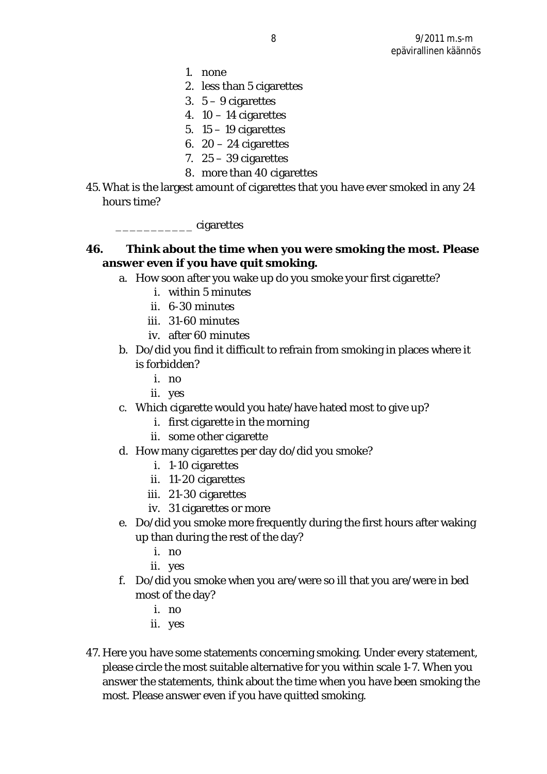- 1. none
- 2. less than 5 cigarettes
- 3. 5 9 cigarettes
- 4.  $10 14$  cigarettes
- 5.  $15 19$  cigarettes
- 6.  $20 24$  cigarettes
- 7.  $25 39$  cigarettes
- 8. more than 40 cigarettes
- 45.What is the largest amount of cigarettes that you have ever smoked in any 24 hours time?

\_\_\_\_\_\_\_\_\_\_\_ cigarettes

**46. Think about the time when you were smoking the most. Please answer even if you have quit smoking.** 

- a. How soon after you wake up do you smoke your first cigarette?
	- i. within 5 minutes
	- ii. 6-30 minutes
	- iii. 31-60 minutes
	- iv. after 60 minutes
- b. Do/did you find it difficult to refrain from smoking in places where it is forbidden?
	- i. no
	- ii. yes
- c. Which cigarette would you hate/have hated most to give up?
	- i. first cigarette in the morning
	- ii. some other cigarette
- d. How many cigarettes per day do/did you smoke?
	- i. 1-10 cigarettes
	- ii. 11-20 cigarettes
	- iii. 21-30 cigarettes
	- iv. 31 cigarettes or more
- e. Do/did you smoke more frequently during the first hours after waking up than during the rest of the day?
	- i. no
	- ii. yes
- f. Do/did you smoke when you are/were so ill that you are/were in bed most of the day?
	- i. no
	- ii. yes
- 47. Here you have some statements concerning smoking. Under every statement, please circle the most suitable alternative for you within scale 1-7. When you answer the statements, think about the time when you have been smoking the most. Please answer even if you have quitted smoking.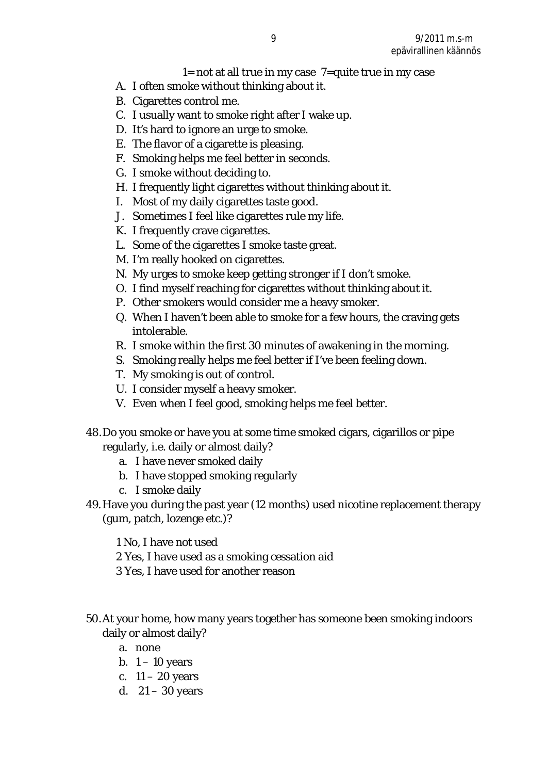#### $1=$  not at all true in my case  $7=$ quite true in my case

- A. I often smoke without thinking about it.
- B. Cigarettes control me.
- C. I usually want to smoke right after I wake up.
- D. It's hard to ignore an urge to smoke.
- E. The flavor of a cigarette is pleasing.
- F. Smoking helps me feel better in seconds.
- G. I smoke without deciding to.
- H. I frequently light cigarettes without thinking about it.
- I. Most of my daily cigarettes taste good.
- J. Sometimes I feel like cigarettes rule my life.
- K. I frequently crave cigarettes.
- L. Some of the cigarettes I smoke taste great.
- M. I'm really hooked on cigarettes.
- N. My urges to smoke keep getting stronger if I don't smoke.
- O. I find myself reaching for cigarettes without thinking about it.
- P. Other smokers would consider me a heavy smoker.
- Q. When I haven't been able to smoke for a few hours, the craving gets intolerable.
- R. I smoke within the first 30 minutes of awakening in the morning.
- S. Smoking really helps me feel better if I've been feeling down.
- T. My smoking is out of control.
- U. I consider myself a heavy smoker.
- V. Even when I feel good, smoking helps me feel better.
- 48.Do you smoke or have you at some time smoked cigars, cigarillos or pipe regularly, i.e. daily or almost daily?
	- a. I have never smoked daily
	- b. I have stopped smoking regularly
	- c. I smoke daily
- 49.Have you during the past year (12 months) used nicotine replacement therapy (gum, patch, lozenge etc.)?

1 No, I have not used

- 2 Yes, I have used as a smoking cessation aid
- 3 Yes, I have used for another reason
- 50.At your home, how many years together has someone been smoking indoors daily or almost daily?
	- a. none
	- b.  $1 10$  years
	- c.  $11 20$  years
	- d. 21 30 years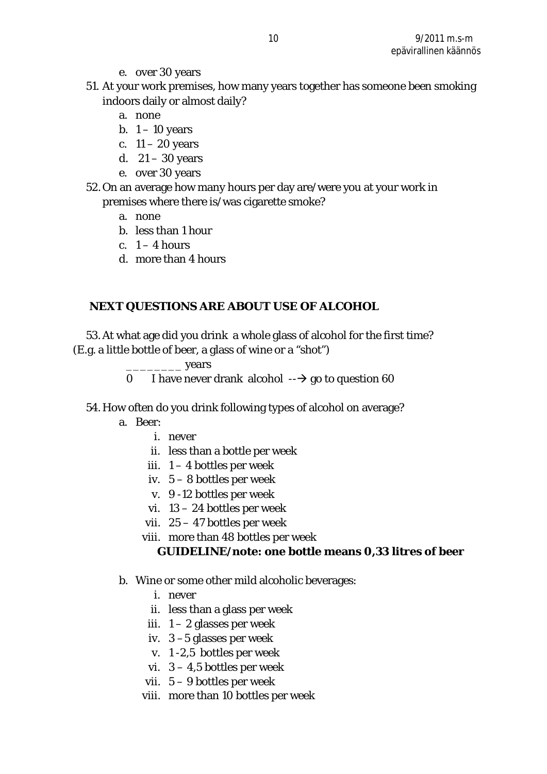- e. over 30 years
- 51. At your work premises, how many years together has someone been smoking indoors daily or almost daily?
	- a. none
	- b.  $1 10$  years
	- c.  $11 20$  years
	- d.  $21 30$  years
	- e. over 30 years
- 52.On an average how many hours per day are/were you at your work in premises where there is/was cigarette smoke?
	- a. none
	- b. less than 1 hour
	- c.  $1 4$  hours
	- d. more than 4 hours

## **NEXT QUESTIONS ARE ABOUT USE OF ALCOHOL**

53.At what age did you drink a whole glass of alcohol for the first time? (E.g. a little bottle of beer, a glass of wine or a "shot")

- \_\_\_\_\_\_\_\_ years
- 0 I have never drank alcohol  $\rightarrow$  go to question 60
- 54. How often do you drink following types of alcohol on average?
	- a. Beer:
		- i. never
		- ii. less than a bottle per week
		- iii.  $1 4$  bottles per week
		- iv. 5 8 bottles per week
		- v. 9 -12 bottles per week
		- vi. 13 24 bottles per week
		- vii. 25 47 bottles per week
		- viii. more than 48 bottles per week

**GUIDELINE/note: one bottle means 0,33 litres of beer** 

- b. Wine or some other mild alcoholic beverages:
	- i. never
	- ii. less than a glass per week
	- iii.  $1 2$  glasses per week
	- iv. 3 –5 glasses per week
	- v. 1 -2,5 bottles per week
	- vi.  $3 4.5$  bottles per week
	- vii. 5 9 bottles per week
	- viii. more than 10 bottles per week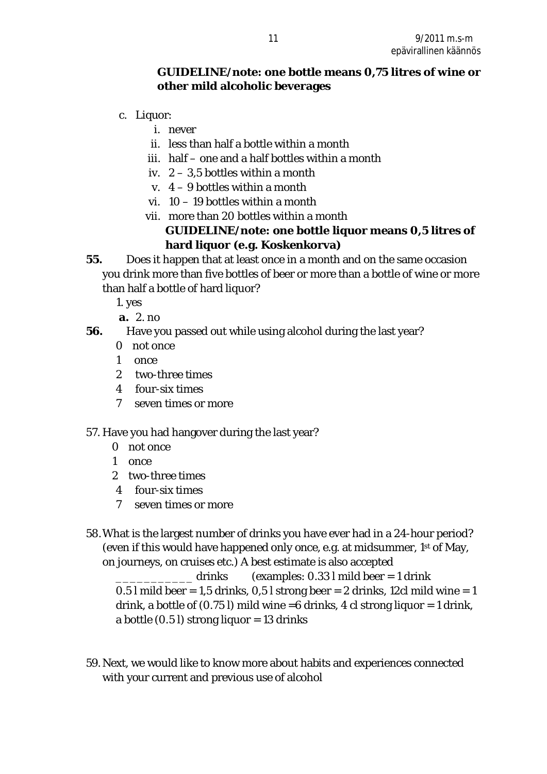#### **GUIDELINE/note: one bottle means 0,75 litres of wine or other mild alcoholic beverages**

- c. Liquor:
	- i. never
	- ii. less than half a bottle within a month
	- iii. half one and a half bottles within a month
	- iv.  $2 3.5$  bottles within a month
	- v. 4 9 bottles within a month
	- vi. 10 19 bottles within a month
	- vii. more than 20 bottles within a month **GUIDELINE/note: one bottle liquor means 0,5 litres of hard liquor (e.g. Koskenkorva)**
- **55.** Does it happen that at least once in a month and on the same occasion you drink more than five bottles of beer or more than a bottle of wine or more than half a bottle of hard liquor?
	- 1. yes
	- **a.** 2. no
- **56.** Have you passed out while using alcohol during the last year?
	- 0 not once
	- 1 once
	- 2 two-three times
	- 4 four-six times
	- 7 seven times or more
- 57. Have you had hangover during the last year?
	- 0 not once
	- 1 once
	- 2 two-three times
	- 4 four-six times
	- 7 seven times or more
- 58.What is the largest number of drinks you have ever had in a 24-hour period? (even if this would have happened only once, e.g. at midsummer, 1st of May, on journeys, on cruises etc.) A best estimate is also accepted

drinks (examples:  $0.33$  l mild beer = 1 drink 0.5 l mild beer =  $1,5$  drinks, 0,5 l strong beer = 2 drinks, 12cl mild wine = 1 drink, a bottle of  $(0.75 \, \text{I})$  mild wine =6 drinks, 4 cl strong liquor = 1 drink, a bottle  $(0.5 \, \text{I})$  strong liquor = 13 drinks

59.Next, we would like to know more about habits and experiences connected with your current and previous use of alcohol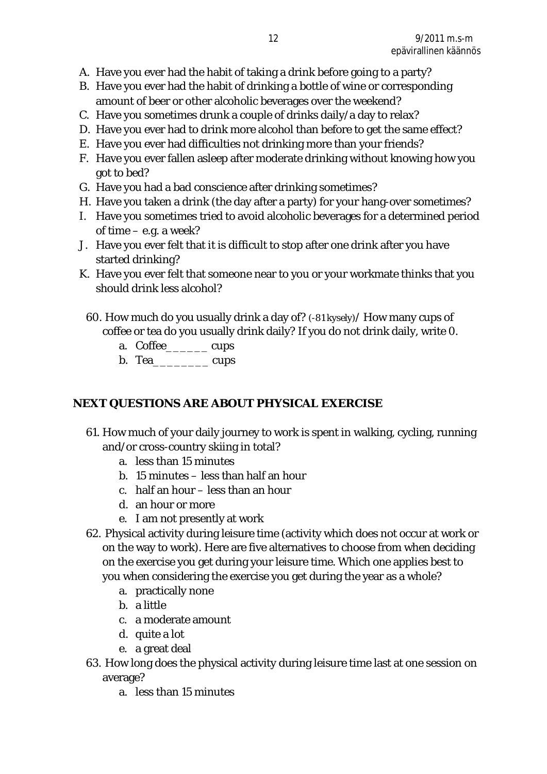- A. Have you ever had the habit of taking a drink before going to a party?
- B. Have you ever had the habit of drinking a bottle of wine or corresponding amount of beer or other alcoholic beverages over the weekend?
- C. Have you sometimes drunk a couple of drinks daily/a day to relax?
- D. Have you ever had to drink more alcohol than before to get the same effect?
- E. Have you ever had difficulties not drinking more than your friends?
- F. Have you ever fallen asleep after moderate drinking without knowing how you got to bed?
- G. Have you had a bad conscience after drinking sometimes?
- H. Have you taken a drink (the day after a party) for your hang-over sometimes?
- I. Have you sometimes tried to avoid alcoholic beverages for a determined period of time – e.g. a week?
- J. Have you ever felt that it is difficult to stop after one drink after you have started drinking?
- K. Have you ever felt that someone near to you or your workmate thinks that you should drink less alcohol?
	- 60. How much do you usually drink a day of? (-81 kysely)/ How many cups of coffee or tea do you usually drink daily? If you do not drink daily, write 0.
		- a. Coffee\_\_\_\_\_\_ cups
		- b. Tea cups

## **NEXT QUESTIONS ARE ABOUT PHYSICAL EXERCISE**

- 61. How much of your daily journey to work is spent in walking, cycling, running and/or cross-country skiing in total?
	- a. less than 15 minutes
	- b. 15 minutes less than half an hour
	- c. half an hour less than an hour
	- d. an hour or more
	- e. I am not presently at work
- 62. Physical activity during leisure time (activity which does not occur at work or on the way to work). Here are five alternatives to choose from when deciding on the exercise you get during your leisure time. Which one applies best to you when considering the exercise you get during the year as a whole?
	- a. practically none
	- b. a little
	- c. a moderate amount
	- d. quite a lot
	- e. a great deal
- 63. How long does the physical activity during leisure time last at one session on average?
	- a. less than 15 minutes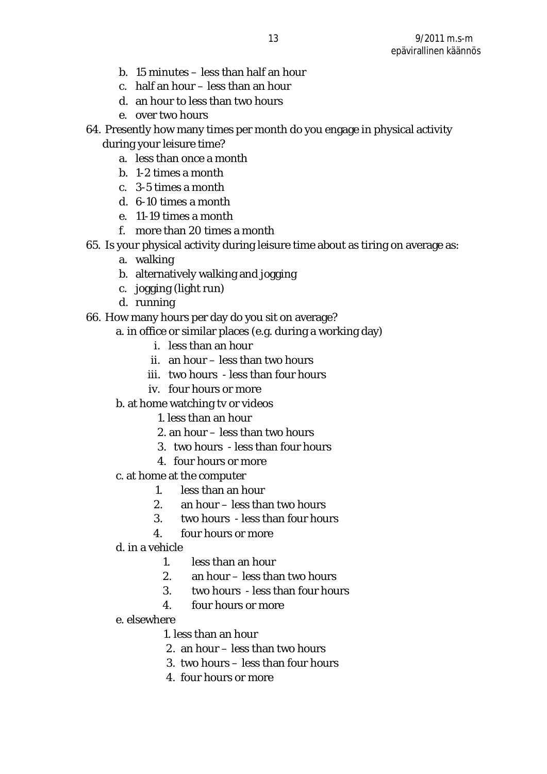- b. 15 minutes less than half an hour
- c. half an hour less than an hour
- d. an hour to less than two hours
- e. over two hours
- 64. Presently how many times per month do you engage in physical activity during your leisure time?
	- a. less than once a month
	- b. 1-2 times a month
	- c. 3-5 times a month
	- d. 6-10 times a month
	- e. 11-19 times a month
	- f. more than 20 times a month
- 65. Is your physical activity during leisure time about as tiring on average as:
	- a. walking
	- b. alternatively walking and jogging
	- c. jogging (light run)
	- d. running
- 66. How many hours per day do you sit on average?
	- a. in office or similar places (e.g. during a working day)
		- i. less than an hour
		- ii. an hour less than two hours
		- iii. two hours less than four hours
		- iv. four hours or more
	- b. at home watching tv or videos
		- 1. less than an hour
		- 2. an hour less than two hours
		- 3. two hours less than four hours
		- 4. four hours or more
	- c. at home at the computer
		- 1. less than an hour
		- 2. an hour less than two hours
		- 3. two hours less than four hours
		- 4. four hours or more
	- d. in a vehicle
		- 1. less than an hour
		- 2. an hour less than two hours
		- 3. two hours less than four hours
		- 4. four hours or more
	- e. elsewhere
		- 1. less than an hour
		- 2. an hour less than two hours
		- 3. two hours less than four hours
		- 4. four hours or more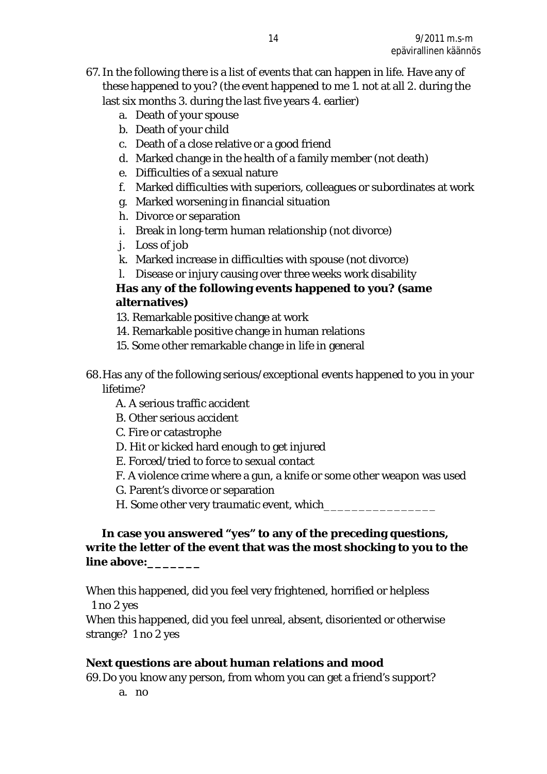- 67.In the following there is a list of events that can happen in life. Have any of these happened to you? (the event happened to me 1. not at all 2. during the last six months 3. during the last five years 4. earlier)
	- a. Death of your spouse
	- b. Death of your child
	- c. Death of a close relative or a good friend
	- d. Marked change in the health of a family member (not death)
	- e. Difficulties of a sexual nature
	- f. Marked difficulties with superiors, colleagues or subordinates at work
	- g. Marked worsening in financial situation
	- h. Divorce or separation
	- i. Break in long-term human relationship (not divorce)
	- j. Loss of job
	- k. Marked increase in difficulties with spouse (not divorce)
	- l. Disease or injury causing over three weeks work disability

**Has any of the following events happened to you? (same alternatives)**

- 13. Remarkable positive change at work
- 14. Remarkable positive change in human relations
- 15. Some other remarkable change in life in general
- 68.Has any of the following serious/exceptional events happened to you in your lifetime?
	- A. A serious traffic accident
	- B. Other serious accident
	- C. Fire or catastrophe
	- D. Hit or kicked hard enough to get injured
	- E. Forced/tried to force to sexual contact
	- F. A violence crime where a gun, a knife or some other weapon was used
	- G. Parent's divorce or separation
	- H. Some other very traumatic event, which

 **In case you answered "yes" to any of the preceding questions, write the letter of the event that was the most shocking to you to the line above:\_\_\_\_\_\_\_** 

When this happened, did you feel very frightened, horrified or helpless 1 no 2 yes

When this happened, did you feel unreal, absent, disoriented or otherwise strange? 1 no 2 yes

**Next questions are about human relations and mood**  69.Do you know any person, from whom you can get a friend's support?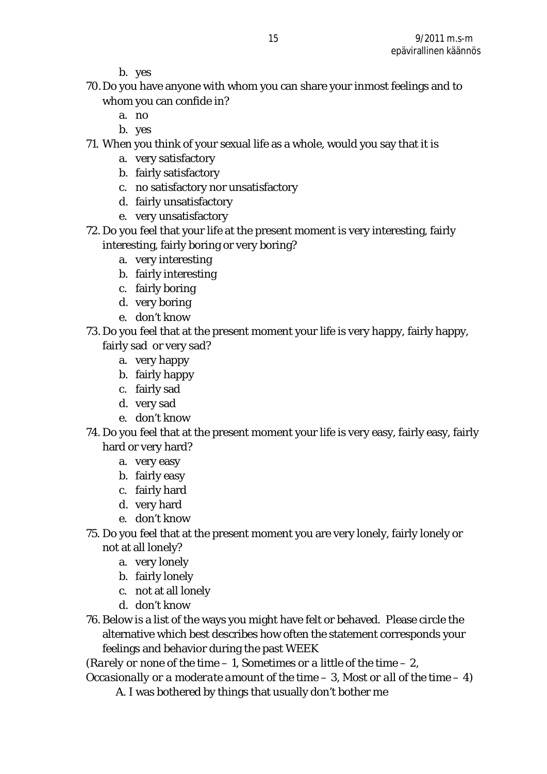b. yes

- 70.Do you have anyone with whom you can share your inmost feelings and to whom you can confide in?
	- a. no
	- b. yes
- 71. When you think of your sexual life as a whole, would you say that it is
	- a. very satisfactory
	- b. fairly satisfactory
	- c. no satisfactory nor unsatisfactory
	- d. fairly unsatisfactory
	- e. very unsatisfactory
- 72. Do you feel that your life at the present moment is very interesting, fairly interesting, fairly boring or very boring?
	- a. very interesting
	- b. fairly interesting
	- c. fairly boring
	- d. very boring
	- e. don't know
- 73. Do you feel that at the present moment your life is very happy, fairly happy, fairly sad or very sad?
	- a. very happy
	- b. fairly happy
	- c. fairly sad
	- d. very sad
	- e. don't know
- 74. Do you feel that at the present moment your life is very easy, fairly easy, fairly hard or very hard?
	- a. very easy
	- b. fairly easy
	- c. fairly hard
	- d. very hard
	- e. don't know
- 75. Do you feel that at the present moment you are very lonely, fairly lonely or not at all lonely?
	- a. very lonely
	- b. fairly lonely
	- c. not at all lonely
	- d. don't know
- 76. Below is a list of the ways you might have felt or behaved. Please circle the alternative which best describes how often the statement corresponds your feelings and behavior during the past WEEK

(*Rarely or none of the time – 1, Sometimes or a little of the time – 2,* 

*Occasionally or a moderate amount of the time – 3, Most or all of the time – 4)* A. I was bothered by things that usually don't bother me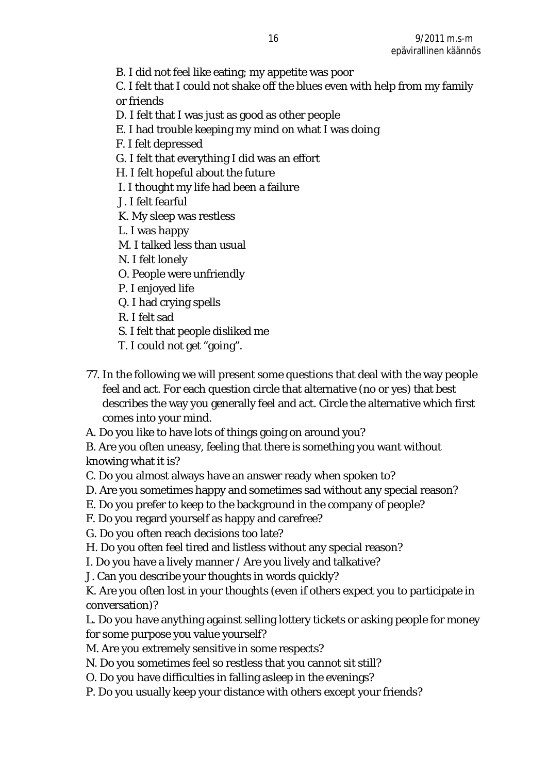B. I did not feel like eating; my appetite was poor

C. I felt that I could not shake off the blues even with help from my family or friends

- D. I felt that I was just as good as other people
- E. I had trouble keeping my mind on what I was doing
- F. I felt depressed
- G. I felt that everything I did was an effort
- H. I felt hopeful about the future
- I. I thought my life had been a failure
- J. I felt fearful
- K. My sleep was restless
- L. I was happy
- M. I talked less than usual
- N. I felt lonely
- O. People were unfriendly
- P. I enjoyed life
- Q. I had crying spells
- R. I felt sad
- S. I felt that people disliked me
- T. I could not get "going".
- 77. In the following we will present some questions that deal with the way people feel and act. For each question circle that alternative (no or yes) that best describes the way you generally feel and act. Circle the alternative which first comes into your mind.
- A. Do you like to have lots of things going on around you?
- B. Are you often uneasy, feeling that there is something you want without knowing what it is?
- C. Do you almost always have an answer ready when spoken to?
- D. Are you sometimes happy and sometimes sad without any special reason?
- E. Do you prefer to keep to the background in the company of people?
- F. Do you regard yourself as happy and carefree?
- G. Do you often reach decisions too late?
- H. Do you often feel tired and listless without any special reason?
- I. Do you have a lively manner / Are you lively and talkative?
- J. Can you describe your thoughts in words quickly?

K. Are you often lost in your thoughts (even if others expect you to participate in conversation)?

L. Do you have anything against selling lottery tickets or asking people for money for some purpose you value yourself?

- M. Are you extremely sensitive in some respects?
- N. Do you sometimes feel so restless that you cannot sit still?
- O. Do you have difficulties in falling asleep in the evenings?
- P. Do you usually keep your distance with others except your friends?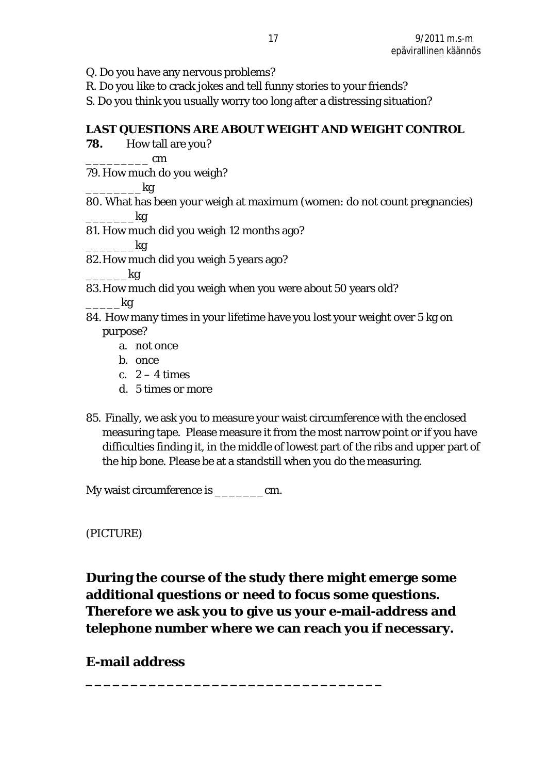- Q. Do you have any nervous problems?
- R. Do you like to crack jokes and tell funny stories to your friends?
- S. Do you think you usually worry too long after a distressing situation?

**LAST QUESTIONS ARE ABOUT WEIGHT AND WEIGHT CONTROL** 

**78.** How tall are you?

\_\_\_\_\_\_\_\_\_ cm

79. How much do you weigh?

\_\_\_\_\_\_\_\_kg

- 80. What has been your weigh at maximum (women: do not count pregnancies)  $-$ kg
- 81. How much did you weigh 12 months ago?

 $\_$ kg

82.How much did you weigh 5 years ago?

 $\overline{\phantom{a}}$ kg

83.How much did you weigh when you were about 50 years old?

 $\_$ kg

- 84. How many times in your lifetime have you lost your weight over 5 kg on purpose?
	- a. not once
	- b. once
	- c.  $2 4$  times
	- d. 5 times or more
- 85. Finally, we ask you to measure your waist circumference with the enclosed measuring tape. Please measure it from the most narrow point or if you have difficulties finding it, in the middle of lowest part of the ribs and upper part of the hip bone. Please be at a standstill when you do the measuring.

My waist circumference is \_\_\_\_\_\_\_\_\_\_cm.

(PICTURE)

**During the course of the study there might emerge some additional questions or need to focus some questions. Therefore we ask you to give us your e-mail-address and telephone number where we can reach you if necessary.** 

**\_\_\_\_\_\_\_\_\_\_\_\_\_\_\_\_\_\_\_\_\_\_\_\_\_\_\_\_\_\_\_\_\_** 

**E-mail address**